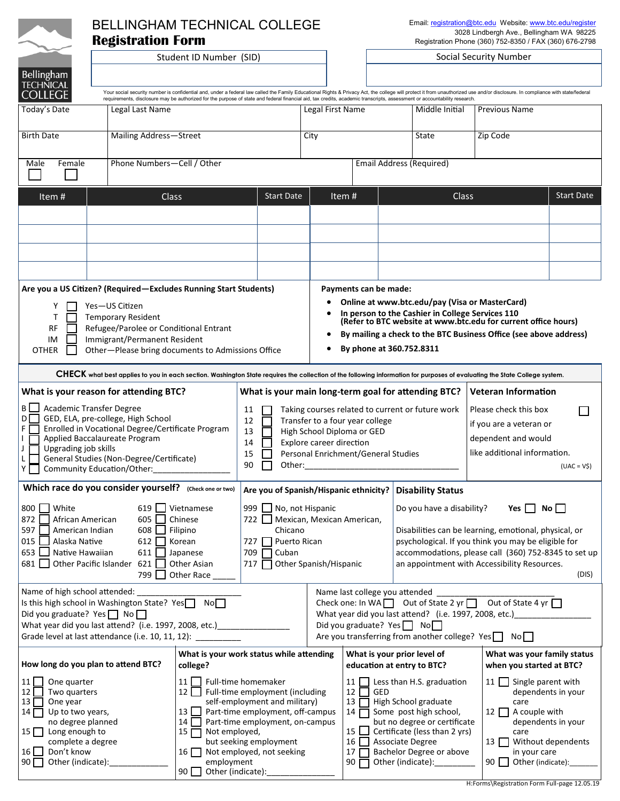|                                                                                                                                                                            | Email: registration@btc.edu Website: www.btc.edu/register<br><b>BELLINGHAM TECHNICAL COLLEGE</b> |                                                                                                                                                                                                                                                                                                                                                                                                            |                                                                     |                                                                                                              |                                                                                                                         |                                                                                                    |                                                         |       |  |
|----------------------------------------------------------------------------------------------------------------------------------------------------------------------------|--------------------------------------------------------------------------------------------------|------------------------------------------------------------------------------------------------------------------------------------------------------------------------------------------------------------------------------------------------------------------------------------------------------------------------------------------------------------------------------------------------------------|---------------------------------------------------------------------|--------------------------------------------------------------------------------------------------------------|-------------------------------------------------------------------------------------------------------------------------|----------------------------------------------------------------------------------------------------|---------------------------------------------------------|-------|--|
|                                                                                                                                                                            | <b>Registration Form</b>                                                                         |                                                                                                                                                                                                                                                                                                                                                                                                            |                                                                     |                                                                                                              |                                                                                                                         | 3028 Lindbergh Ave., Bellingham WA 98225<br>Registration Phone (360) 752-8350 / FAX (360) 676-2798 |                                                         |       |  |
|                                                                                                                                                                            | Student ID Number (SID)                                                                          |                                                                                                                                                                                                                                                                                                                                                                                                            |                                                                     | Social Security Number                                                                                       |                                                                                                                         |                                                                                                    |                                                         |       |  |
| <b>Bellingham</b>                                                                                                                                                          |                                                                                                  |                                                                                                                                                                                                                                                                                                                                                                                                            |                                                                     |                                                                                                              |                                                                                                                         |                                                                                                    |                                                         |       |  |
| <b>TECHNICAL</b><br><b>COLLEGE</b>                                                                                                                                         |                                                                                                  | Your social security number is confidential and, under a federal law called the Family Educational Rights & Privacy Act, the college will protect it from unauthorized use and/or disclosure. In compliance with state/federal<br>requirements, disclosure may be authorized for the purpose of state and federal financial aid, tax credits, academic transcripts, assessment or accountability research. |                                                                     |                                                                                                              |                                                                                                                         |                                                                                                    |                                                         |       |  |
| Today's Date                                                                                                                                                               | Legal Last Name                                                                                  |                                                                                                                                                                                                                                                                                                                                                                                                            |                                                                     | Legal First Name                                                                                             |                                                                                                                         | Middle Initial                                                                                     | <b>Previous Name</b>                                    |       |  |
|                                                                                                                                                                            |                                                                                                  |                                                                                                                                                                                                                                                                                                                                                                                                            |                                                                     |                                                                                                              |                                                                                                                         |                                                                                                    |                                                         |       |  |
| <b>Birth Date</b>                                                                                                                                                          | <b>Mailing Address-Street</b>                                                                    |                                                                                                                                                                                                                                                                                                                                                                                                            |                                                                     | City                                                                                                         |                                                                                                                         | State                                                                                              | Zip Code                                                |       |  |
| Female<br>Male                                                                                                                                                             | Phone Numbers-Cell / Other                                                                       |                                                                                                                                                                                                                                                                                                                                                                                                            |                                                                     |                                                                                                              |                                                                                                                         | <b>Email Address (Required)</b>                                                                    |                                                         |       |  |
|                                                                                                                                                                            |                                                                                                  |                                                                                                                                                                                                                                                                                                                                                                                                            |                                                                     |                                                                                                              |                                                                                                                         |                                                                                                    |                                                         |       |  |
| Item $#$                                                                                                                                                                   |                                                                                                  | Class<br><b>Start Date</b>                                                                                                                                                                                                                                                                                                                                                                                 |                                                                     |                                                                                                              | Item#<br><b>Start Date</b><br>Class                                                                                     |                                                                                                    |                                                         |       |  |
|                                                                                                                                                                            |                                                                                                  |                                                                                                                                                                                                                                                                                                                                                                                                            |                                                                     |                                                                                                              |                                                                                                                         |                                                                                                    |                                                         |       |  |
|                                                                                                                                                                            |                                                                                                  |                                                                                                                                                                                                                                                                                                                                                                                                            |                                                                     |                                                                                                              |                                                                                                                         |                                                                                                    |                                                         |       |  |
|                                                                                                                                                                            |                                                                                                  |                                                                                                                                                                                                                                                                                                                                                                                                            |                                                                     |                                                                                                              |                                                                                                                         |                                                                                                    |                                                         |       |  |
|                                                                                                                                                                            |                                                                                                  |                                                                                                                                                                                                                                                                                                                                                                                                            |                                                                     |                                                                                                              |                                                                                                                         |                                                                                                    |                                                         |       |  |
|                                                                                                                                                                            |                                                                                                  |                                                                                                                                                                                                                                                                                                                                                                                                            |                                                                     |                                                                                                              |                                                                                                                         |                                                                                                    |                                                         |       |  |
|                                                                                                                                                                            | Are you a US Citizen? (Required—Excludes Running Start Students)<br>Payments can be made:        |                                                                                                                                                                                                                                                                                                                                                                                                            |                                                                     |                                                                                                              |                                                                                                                         |                                                                                                    |                                                         |       |  |
|                                                                                                                                                                            |                                                                                                  |                                                                                                                                                                                                                                                                                                                                                                                                            |                                                                     |                                                                                                              | Online at www.btc.edu/pay (Visa or MasterCard)                                                                          |                                                                                                    |                                                         |       |  |
| Τ                                                                                                                                                                          | Yes-US Citizen<br>Y<br><b>Temporary Resident</b>                                                 |                                                                                                                                                                                                                                                                                                                                                                                                            |                                                                     |                                                                                                              | In person to the Cashier in College Services 110<br>(Refer to BTC website at www.btc.edu for current office hours)      |                                                                                                    |                                                         |       |  |
| <b>RF</b>                                                                                                                                                                  | Refugee/Parolee or Conditional Entrant                                                           |                                                                                                                                                                                                                                                                                                                                                                                                            |                                                                     |                                                                                                              |                                                                                                                         |                                                                                                    |                                                         |       |  |
| By mailing a check to the BTC Business Office (see above address)<br>Immigrant/Permanent Resident<br>ΙM<br>By phone at 360.752.8311                                        |                                                                                                  |                                                                                                                                                                                                                                                                                                                                                                                                            |                                                                     |                                                                                                              |                                                                                                                         |                                                                                                    |                                                         |       |  |
| <b>OTHER</b>                                                                                                                                                               | Other-Please bring documents to Admissions Office                                                |                                                                                                                                                                                                                                                                                                                                                                                                            |                                                                     |                                                                                                              |                                                                                                                         |                                                                                                    |                                                         |       |  |
| CHECK what best applies to you in each section. Washington State requires the collection of the following information for purposes of evaluating the State College system. |                                                                                                  |                                                                                                                                                                                                                                                                                                                                                                                                            |                                                                     |                                                                                                              |                                                                                                                         |                                                                                                    |                                                         |       |  |
| What is your reason for attending BTC?                                                                                                                                     |                                                                                                  |                                                                                                                                                                                                                                                                                                                                                                                                            |                                                                     | <b>Veteran Information</b><br>What is your main long-term goal for attending BTC?                            |                                                                                                                         |                                                                                                    |                                                         |       |  |
| B   Academic Transfer Degree<br>11                                                                                                                                         |                                                                                                  |                                                                                                                                                                                                                                                                                                                                                                                                            |                                                                     |                                                                                                              | Taking courses related to current or future work<br>Please check this box                                               |                                                                                                    |                                                         |       |  |
| GED, ELA, pre-college, High School<br>D<br>F<br>Enrolled in Vocational Degree/Certificate Program                                                                          |                                                                                                  |                                                                                                                                                                                                                                                                                                                                                                                                            | 12<br>Transfer to a four year college                               |                                                                                                              |                                                                                                                         | if you are a veteran or                                                                            |                                                         |       |  |
| Applied Baccalaureate Program                                                                                                                                              |                                                                                                  |                                                                                                                                                                                                                                                                                                                                                                                                            | 13<br>High School Diploma or GED<br>Explore career direction<br>14  |                                                                                                              |                                                                                                                         |                                                                                                    | dependent and would                                     |       |  |
| Upgrading job skills<br>General Studies (Non-Degree/Certificate)                                                                                                           |                                                                                                  |                                                                                                                                                                                                                                                                                                                                                                                                            | 15<br>Personal Enrichment/General Studies                           |                                                                                                              |                                                                                                                         |                                                                                                    | like additional information.                            |       |  |
| 90<br>Other:<br>Y<br>Community Education/Other:                                                                                                                            |                                                                                                  |                                                                                                                                                                                                                                                                                                                                                                                                            |                                                                     |                                                                                                              |                                                                                                                         | $(UAC = V$)$                                                                                       |                                                         |       |  |
| Which race do you consider yourself? (Check one or two)                                                                                                                    |                                                                                                  | Are you of Spanish/Hispanic ethnicity?<br><b>Disability Status</b>                                                                                                                                                                                                                                                                                                                                         |                                                                     |                                                                                                              |                                                                                                                         |                                                                                                    |                                                         |       |  |
| 800 <del>N</del> White                                                                                                                                                     | 999 No, not Hispanic                                                                             |                                                                                                                                                                                                                                                                                                                                                                                                            | Yes $\Box$ No $\Box$<br>Do you have a disability?                   |                                                                                                              |                                                                                                                         |                                                                                                    |                                                         |       |  |
| 872<br>African American                                                                                                                                                    | 722 Mexican, Mexican American,                                                                   |                                                                                                                                                                                                                                                                                                                                                                                                            |                                                                     |                                                                                                              |                                                                                                                         |                                                                                                    |                                                         |       |  |
| 597<br>Filipino<br>Chicano<br>American Indian<br>608<br>Disabilities can be learning, emotional, physical, or                                                              |                                                                                                  |                                                                                                                                                                                                                                                                                                                                                                                                            |                                                                     |                                                                                                              |                                                                                                                         |                                                                                                    |                                                         |       |  |
| Alaska Native<br>015<br>612<br>Korean<br>Puerto Rican<br>727 I<br>653<br>Native Hawaiian<br>611<br>Japanese<br>709 F<br>Cuban                                              |                                                                                                  |                                                                                                                                                                                                                                                                                                                                                                                                            |                                                                     |                                                                                                              | psychological. If you think you may be eligible for<br>accommodations, please call (360) 752-8345 to set up             |                                                                                                    |                                                         |       |  |
| Other Pacific Islander 621<br>717 Other Spanish/Hispanic<br>an appointment with Accessibility Resources.<br>681<br>Other Asian                                             |                                                                                                  |                                                                                                                                                                                                                                                                                                                                                                                                            |                                                                     |                                                                                                              |                                                                                                                         |                                                                                                    |                                                         |       |  |
|                                                                                                                                                                            | 799                                                                                              | Other Race                                                                                                                                                                                                                                                                                                                                                                                                 |                                                                     |                                                                                                              |                                                                                                                         |                                                                                                    |                                                         | (DIS) |  |
| Name of high school attended:<br>Name last college you attended _                                                                                                          |                                                                                                  |                                                                                                                                                                                                                                                                                                                                                                                                            |                                                                     |                                                                                                              |                                                                                                                         |                                                                                                    |                                                         |       |  |
| Is this high school in Washington State? Yes <sup>1</sup> Non<br>Did you graduate? Yes No                                                                                  |                                                                                                  |                                                                                                                                                                                                                                                                                                                                                                                                            |                                                                     | Check one: In WA U Out of State 2 yr U Out of State 4 yr                                                     |                                                                                                                         |                                                                                                    |                                                         |       |  |
| What year did you last attend? (i.e. 1997, 2008, etc.) [1997]                                                                                                              |                                                                                                  |                                                                                                                                                                                                                                                                                                                                                                                                            |                                                                     | What year did you last attend? (i.e. 1997, 2008, etc.) _________<br>Did you graduate? Yes $\Box$ No $\Box$   |                                                                                                                         |                                                                                                    |                                                         |       |  |
| Are you transferring from another college? Yes No<br>Grade level at last attendance (i.e. 10, 11, 12):                                                                     |                                                                                                  |                                                                                                                                                                                                                                                                                                                                                                                                            |                                                                     |                                                                                                              |                                                                                                                         |                                                                                                    |                                                         |       |  |
| How long do you plan to attend BTC?                                                                                                                                        |                                                                                                  | college?                                                                                                                                                                                                                                                                                                                                                                                                   | What is your work status while attending                            |                                                                                                              | What is your prior level of<br>education at entry to BTC?                                                               |                                                                                                    | What was your family status<br>when you started at BTC? |       |  |
| 11   I<br>One quarter                                                                                                                                                      |                                                                                                  | 11 <sup>1</sup>                                                                                                                                                                                                                                                                                                                                                                                            | Full-time homemaker                                                 |                                                                                                              |                                                                                                                         | 11 Less than H.S. graduation                                                                       | 11 Single parent with                                   |       |  |
| 12 <sub>1</sub><br>Two quarters                                                                                                                                            |                                                                                                  |                                                                                                                                                                                                                                                                                                                                                                                                            | 12 Full-time employment (including                                  |                                                                                                              | $12 \Box$<br>GED                                                                                                        |                                                                                                    | dependents in your                                      |       |  |
| $13\Box$<br>One year                                                                                                                                                       |                                                                                                  | self-employment and military)                                                                                                                                                                                                                                                                                                                                                                              |                                                                     | High School graduate<br>$13\Box$<br>care                                                                     |                                                                                                                         |                                                                                                    |                                                         |       |  |
| Up to two years,<br>$14\Box$<br>no degree planned                                                                                                                          |                                                                                                  | $13$ $\Box$<br>14                                                                                                                                                                                                                                                                                                                                                                                          | Part-time employment, off-campus<br>Part-time employment, on-campus | Some post high school,<br>12 A couple with<br>$14\Box$<br>but no degree or certificate<br>dependents in your |                                                                                                                         |                                                                                                    |                                                         |       |  |
| $15$ Long enough to                                                                                                                                                        |                                                                                                  | $15\Box$<br>Not employed,                                                                                                                                                                                                                                                                                                                                                                                  |                                                                     | $15\Box$<br>Certificate (less than 2 yrs)<br>care                                                            |                                                                                                                         |                                                                                                    |                                                         |       |  |
| complete a degree<br>$16$ $\Box$<br>Don't know                                                                                                                             |                                                                                                  | but seeking employment<br>Not employed, not seeking<br>$16$ $\Box$                                                                                                                                                                                                                                                                                                                                         |                                                                     |                                                                                                              | 16<br>Associate Degree<br>13 <sup>1</sup><br>Without dependents<br>Bachelor Degree or above<br>in your care<br>$17\Box$ |                                                                                                    |                                                         |       |  |
| Other (indicate):<br>$90\Box$                                                                                                                                              |                                                                                                  | employment                                                                                                                                                                                                                                                                                                                                                                                                 |                                                                     | $90\Box$                                                                                                     | Other (indicate):                                                                                                       | 90 I I<br>Other (indicate):                                                                        |                                                         |       |  |

90 Other (indicate):\_\_\_\_\_\_\_\_\_\_\_\_\_\_\_

H:Forms\Registration Form Full-page 12.05.19